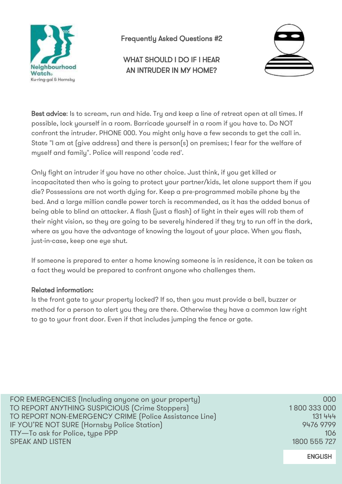

Frequently Asked Questions #2

## WHAT SHOULD I DO IF I HEAR AN INTRUDER IN MY HOME?



ENGLISH

Best advice: Is to scream, run and hide. Try and keep a line of retreat open at all times. If possible, lock yourself in a room. Barricade yourself in a room if you have to. Do NOT confront the intruder. PHONE 000. You might only have a few seconds to get the call in. State "I am at (give address) and there is person(s) on premises; I fear for the welfare of myself and family". Police will respond 'code red'.

Only fight an intruder if you have no other choice. Just think, if you get killed or incapacitated then who is going to protect your partner/kids, let alone support them if you die? Possessions are not worth dying for. Keep a pre-programmed mobile phone by the bed. And a large million candle power torch is recommended, as it has the added bonus of being able to blind an attacker. A flash (just a flash) of light in their eyes will rob them of their night vision, so they are going to be severely hindered if they try to run off in the dark, where as you have the advantage of knowing the layout of your place. When you flash, just-in-case, keep one eye shut.

If someone is prepared to enter a home knowing someone is in residence, it can be taken as a fact they would be prepared to confront anyone who challenges them.

## Related information:

Is the front gate to your property locked? If so, then you must provide a bell, buzzer or method for a person to alert you they are there. Otherwise they have a common law right to go to your front door. Even if that includes jumping the fence or gate.

| FOR EMERGENCIES (Including anyone on your property)    | 000          |
|--------------------------------------------------------|--------------|
| TO REPORT ANYTHING SUSPICIOUS (Crime Stoppers)         | 1800 333 000 |
| TO REPORT NON-EMERGENCY CRIME (Police Assistance Line) | 131 444      |
| IF YOU'RE NOT SURE (Hornsby Police Station)            | 9476 9799    |
| TTY—To ask for Police, type PPP                        | 106          |
| <b>SPEAK AND LISTEN</b>                                | 1800 555 727 |
|                                                        |              |